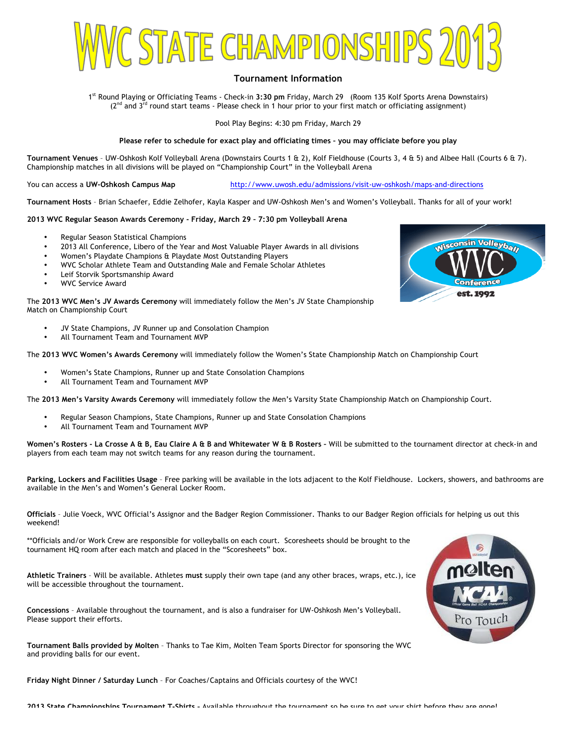

# **Tournament Information**

1st Round Playing or Officiating Teams - Check-in **3:30 pm** Friday, March 29 (Room 135 Kolf Sports Arena Downstairs)  $(2^{nd}$  and  $3^{rd}$  round start teams - Please check in 1 hour prior to your first match or officiating assignment)

Pool Play Begins: 4:30 pm Friday, March 29

#### **Please refer to schedule for exact play and officiating times – you may officiate before you play**

**Tournament Venues** – UW-Oshkosh Kolf Volleyball Arena (Downstairs Courts 1 & 2), Kolf Fieldhouse (Courts 3, 4 & 5) and Albee Hall (Courts 6 & 7). Championship matches in all divisions will be played on "Championship Court" in the Volleyball Arena

You can access a UW-Oshkosh Campus Map **http://www.uwosh.edu/admissions/visit-uw-oshkosh/maps-and-directions** 

**Tournament Hosts** – Brian Schaefer, Eddie Zelhofer, Kayla Kasper and UW-Oshkosh Men's and Women's Volleyball. Thanks for all of your work!

## **2013 WVC Regular Season Awards Ceremony - Friday, March 29 – 7:30 pm Volleyball Arena**

- Regular Season Statistical Champions
- 2013 All Conference, Libero of the Year and Most Valuable Player Awards in all divisions
- Women's Playdate Champions & Playdate Most Outstanding Players
- WVC Scholar Athlete Team and Outstanding Male and Female Scholar Athletes
- Leif Storvik Sportsmanship Award
- WVC Service Award

The **2013 WVC Men's JV Awards Ceremony** will immediately follow the Men's JV State Championship Match on Championship Court

- JV State Champions, JV Runner up and Consolation Champion
- All Tournament Team and Tournament MVP

The **2013 WVC Women's Awards Ceremony** will immediately follow the Women's State Championship Match on Championship Court

- Women's State Champions, Runner up and State Consolation Champions
- All Tournament Team and Tournament MVP

The **2013 Men's Varsity Awards Ceremony** will immediately follow the Men's Varsity State Championship Match on Championship Court.

- Regular Season Champions, State Champions, Runner up and State Consolation Champions
- All Tournament Team and Tournament MVP

**Women's Rosters - La Crosse A & B, Eau Claire A & B and Whitewater W & B Rosters –** Will be submitted to the tournament director at check-in and players from each team may not switch teams for any reason during the tournament.

**Parking, Lockers and Facilities Usage** – Free parking will be available in the lots adjacent to the Kolf Fieldhouse. Lockers, showers, and bathrooms are available in the Men's and Women's General Locker Room.

**Officials** – Julie Voeck, WVC Official's Assignor and the Badger Region Commissioner. Thanks to our Badger Region officials for helping us out this weekend!

\*\*Officials and/or Work Crew are responsible for volleyballs on each court. Scoresheets should be brought to the tournament HQ room after each match and placed in the "Scoresheets" box.

**Athletic Trainers** – Will be available. Athletes **must** supply their own tape (and any other braces, wraps, etc.), ice will be accessible throughout the tournament.

**Concessions** – Available throughout the tournament, and is also a fundraiser for UW-Oshkosh Men's Volleyball. Please support their efforts.

**Tournament Balls provided by Molten** – Thanks to Tae Kim, Molten Team Sports Director for sponsoring the WVC and providing balls for our event.

**Friday Night Dinner / Saturday Lunch** – For Coaches/Captains and Officials courtesy of the WVC!



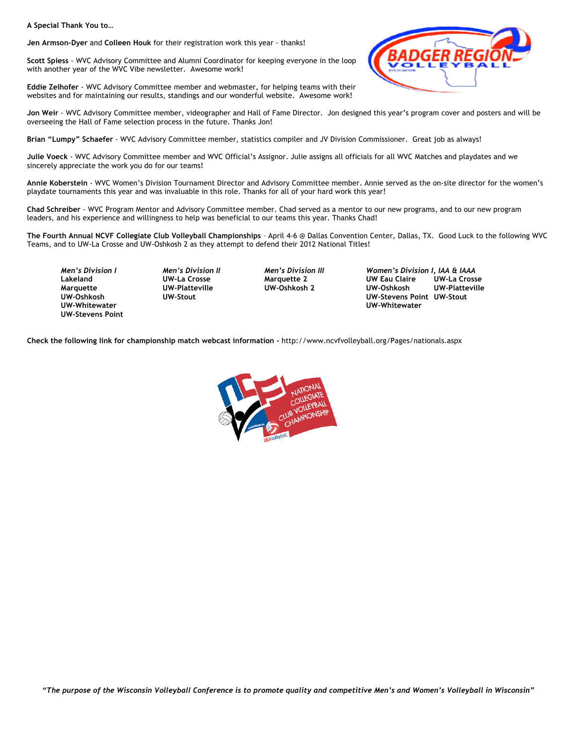**A Special Thank You to…**

**Jen Armson-Dyer** and **Colleen Houk** for their registration work this year - thanks!

**Scott Spiess** - WVC Advisory Committee and Alumni Coordinator for keeping everyone in the loop with another year of the WVC Vibe newsletter. Awesome work!

**Eddie Zelhofer** - WVC Advisory Committee member and webmaster, for helping teams with their websites and for maintaining our results, standings and our wonderful website. Awesome work!



**Jon Weir** - WVC Advisory Committee member, videographer and Hall of Fame Director. Jon designed this year's program cover and posters and will be overseeing the Hall of Fame selection process in the future. Thanks Jon!

**Brian "Lumpy" Schaefer** - WVC Advisory Committee member, statistics compiler and JV Division Commissioner. Great job as always!

**Julie Voeck** - WVC Advisory Committee member and WVC Official's Assignor. Julie assigns all officials for all WVC Matches and playdates and we sincerely appreciate the work you do for our teams!

**Annie Koberstein** - WVC Women's Division Tournament Director and Advisory Committee member. Annie served as the on-site director for the women's playdate tournaments this year and was invaluable in this role. Thanks for all of your hard work this year!

**Chad Schreiber** - WVC Program Mentor and Advisory Committee member. Chad served as a mentor to our new programs, and to our new program leaders, and his experience and willingness to help was beneficial to our teams this year. Thanks Chad!

**The Fourth Annual NCVF Collegiate Club Volleyball Championships** – April 4-6 @ Dallas Convention Center, Dallas, TX. Good Luck to the following WVC Teams, and to UW-La Crosse and UW-Oshkosh 2 as they attempt to defend their 2012 National Titles!

**UW-Stevens Point**

*Men's Division I Men's Division II Men's Division III Women's Division I, IAA & IAAA* **LACKER COMPOON CONTENT Marquette UW-Platteville UW-Oshkosh 2 UW-Oshkosh UW-Platteville UW-Oshkosh UW-Stout UW-Stevens Point UW-Stout UW-Whitewater UW-Whitewater** 

**Check the following link for championship match webcast information -** http://www.ncvfvolleyball.org/Pages/nationals.aspx